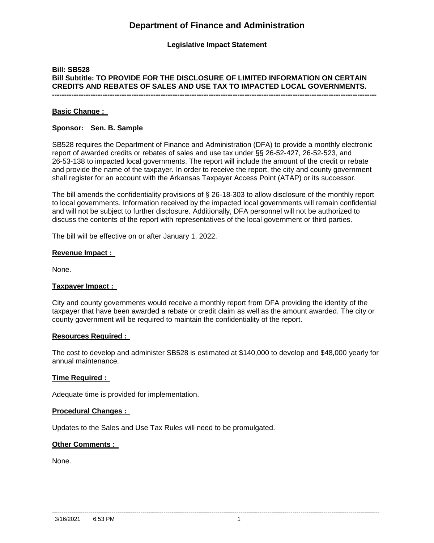# **Department of Finance and Administration**

## **Legislative Impact Statement**

### **Bill: SB528 Bill Subtitle: TO PROVIDE FOR THE DISCLOSURE OF LIMITED INFORMATION ON CERTAIN CREDITS AND REBATES OF SALES AND USE TAX TO IMPACTED LOCAL GOVERNMENTS. ---------------------------------------------------------------------------------------------------------------------------------------**

#### **Basic Change :**

#### **Sponsor: Sen. B. Sample**

SB528 requires the Department of Finance and Administration (DFA) to provide a monthly electronic report of awarded credits or rebates of sales and use tax under §§ 26-52-427, 26-52-523, and 26-53-138 to impacted local governments. The report will include the amount of the credit or rebate and provide the name of the taxpayer. In order to receive the report, the city and county government shall register for an account with the Arkansas Taxpayer Access Point (ATAP) or its successor.

The bill amends the confidentiality provisions of § 26-18-303 to allow disclosure of the monthly report to local governments. Information received by the impacted local governments will remain confidential and will not be subject to further disclosure. Additionally, DFA personnel will not be authorized to discuss the contents of the report with representatives of the local government or third parties.

The bill will be effective on or after January 1, 2022.

#### **Revenue Impact :**

None.

#### **Taxpayer Impact :**

City and county governments would receive a monthly report from DFA providing the identity of the taxpayer that have been awarded a rebate or credit claim as well as the amount awarded. The city or county government will be required to maintain the confidentiality of the report.

#### **Resources Required :**

The cost to develop and administer SB528 is estimated at \$140,000 to develop and \$48,000 yearly for annual maintenance.

#### **Time Required :**

Adequate time is provided for implementation.

#### **Procedural Changes :**

Updates to the Sales and Use Tax Rules will need to be promulgated.

#### **Other Comments :**

None.